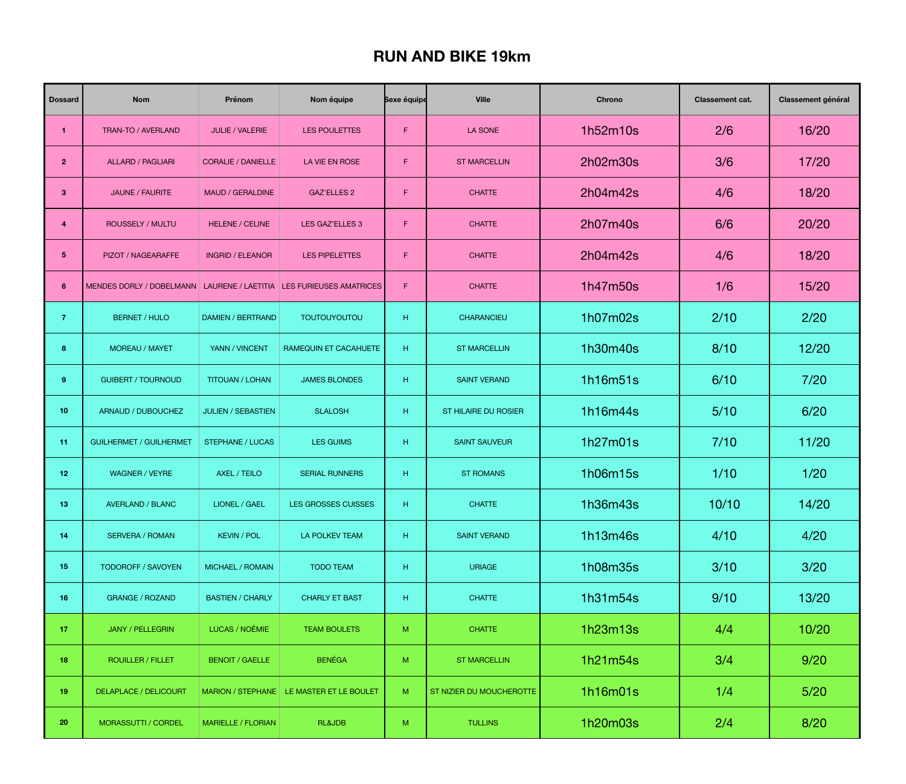## **RUN AND BIKE 19km**

| <b>Dossard</b>  | <b>Nom</b>                                    | Prénom                    | Nom équipe                                 | <b>Sexe équipe</b> | <b>Ville</b>                | <b>Chrono</b> | <b>Classement cat.</b> | <b>Classement général</b> |
|-----------------|-----------------------------------------------|---------------------------|--------------------------------------------|--------------------|-----------------------------|---------------|------------------------|---------------------------|
|                 | TRAN-TO / AVERLAND                            | <b>JULIE / VALERIE</b>    | <b>LES POULETTES</b>                       | F                  | LA SONE                     | 1h52m10s      | 2/6                    | 16/20                     |
| 2 <sup>1</sup>  | <b>ALLARD / PAGLIARI</b>                      | <b>CORALIE / DANIELLE</b> | LA VIE EN ROSE                             | F                  | <b>ST MARCELLIN</b>         | 2h02m30s      | 3/6                    | 17/20                     |
| 3 <sup>5</sup>  | <b>JAUNE / FAURITE</b>                        | <b>MAUD / GERALDINE</b>   | <b>GAZ'ELLES 2</b>                         | F                  | <b>CHATTE</b>               | 2h04m42s      | 4/6                    | 18/20                     |
| 4               | <b>ROUSSELY / MULTU</b>                       | <b>HELENE / CELINE</b>    | <b>LES GAZ'ELLES 3</b>                     | F                  | <b>CHATTE</b>               | 2h07m40s      | 6/6                    | 20/20                     |
| $5\phantom{1}$  | PIZOT / NAGEARAFFE                            | <b>INGRID / ELEANOR</b>   | <b>LES PIPELETTES</b>                      | F                  | <b>CHATTE</b>               | 2h04m42s      | 4/6                    | 18/20                     |
| 6 <sup>°</sup>  | MENDES DORLY / DOBELMANN   LAURENE / LAETITIA |                           | <b>LES FURIEUSES AMATRICES</b>             | $\mathsf{F}$       | <b>CHATTE</b>               | 1h47m50s      | 1/6                    | 15/20                     |
| $\overline{7}$  | <b>BERNET / HULO</b>                          | DAMIEN / BERTRAND         | <b>TOUTOUYOUTOU</b>                        | H                  | <b>CHARANCIEU</b>           | 1h07m02s      | 2/10                   | 2/20                      |
| 8 <sup>°</sup>  | <b>MOREAU / MAYET</b>                         | YANN / VINCENT            | <b>RAMEQUIN ET CACAHUETE</b>               | H                  | <b>ST MARCELLIN</b>         | 1h30m40s      | 8/10                   | 12/20                     |
| 9               | <b>GUIBERT / TOURNOUD</b>                     | <b>TITOUAN / LOHAN</b>    | <b>JAMES BLONDES</b>                       | H                  | <b>SAINT VERAND</b>         | 1h16m51s      | 6/10                   | 7/20                      |
| 10 <sub>1</sub> | ARNAUD / DUBOUCHEZ                            | <b>JULIEN / SEBASTIEN</b> | <b>SLALOSH</b>                             | H                  | <b>ST HILAIRE DU ROSIER</b> | 1h16m44s      | 5/10                   | 6/20                      |
| 11              | <b>GUILHERMET / GUILHERMET</b>                | <b>STEPHANE / LUCAS</b>   | <b>LES GUIMS</b>                           | H                  | <b>SAINT SAUVEUR</b>        | 1h27m01s      | 7/10                   | 11/20                     |
| 12              | <b>WAGNER / VEYRE</b>                         | AXEL / TEILO              | <b>SERIAL RUNNERS</b>                      | H                  | <b>ST ROMANS</b>            | 1h06m15s      | 1/10                   | 1/20                      |
| 13              | <b>AVERLAND / BLANC</b>                       | <b>LIONEL / GAEL</b>      | <b>LES GROSSES CUISSES</b>                 | H                  | <b>CHATTE</b>               | 1h36m43s      | 10/10                  | 14/20                     |
| 14              | <b>SERVERA / ROMAN</b>                        | <b>KEVIN / POL</b>        | <b>LA POLKEV TEAM</b>                      | H                  | <b>SAINT VERAND</b>         | 1h13m46s      | 4/10                   | 4/20                      |
| 15              | <b>TODOROFF / SAVOYEN</b>                     | <b>MICHAEL / ROMAIN</b>   | <b>TODO TEAM</b>                           | H                  | <b>URIAGE</b>               | 1h08m35s      | 3/10                   | 3/20                      |
| 16              | <b>GRANGE / ROZAND</b>                        | <b>BASTIEN / CHARLY</b>   | <b>CHARLY ET BAST</b>                      | H                  | <b>CHATTE</b>               | 1h31m54s      | 9/10                   | 13/20                     |
| 17 <sub>2</sub> | <b>JANY / PELLEGRIN</b>                       | LUCAS / NOÉMIE            | <b>TEAM BOULETS</b>                        | M                  | <b>CHATTE</b>               | 1h23m13s      | 4/4                    | 10/20                     |
| 18              | <b>ROUILLER / FILLET</b>                      | <b>BENOIT / GAELLE</b>    | <b>BENÉGA</b>                              | M                  | <b>ST MARCELLIN</b>         | 1h21m54s      | 3/4                    | 9/20                      |
| 19              | <b>DELAPLACE / DELICOURT</b>                  |                           | MARION / STEPHANE   LE MASTER ET LE BOULET | M                  | ST NIZIER DU MOUCHEROTTE    | 1h16m01s      | 1/4                    | 5/20                      |
| 20              | <b>MORASSUTTI / CORDEL</b>                    | <b>MARIELLE / FLORIAN</b> | <b>RL&amp;JDB</b>                          | M                  | <b>TULLINS</b>              | 1h20m03s      | 2/4                    | 8/20                      |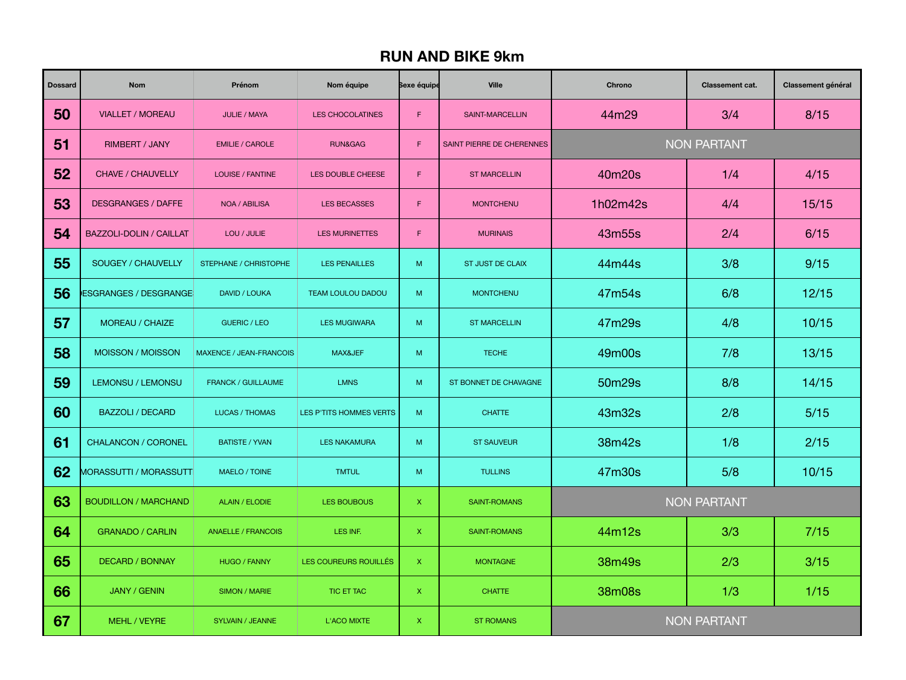## **RUN AND BIKE 9km**

| <b>Dossard</b> | <b>Nom</b>                     | Prénom                         | Nom équipe               | <b>Sexe équipe</b> | <b>Ville</b>              | <b>Chrono</b>      | <b>Classement cat.</b> | <b>Classement général</b> |
|----------------|--------------------------------|--------------------------------|--------------------------|--------------------|---------------------------|--------------------|------------------------|---------------------------|
| 50             | <b>VIALLET / MOREAU</b>        | <b>JULIE / MAYA</b>            | <b>LES CHOCOLATINES</b>  | F                  | <b>SAINT-MARCELLIN</b>    | 44m29              | 3/4                    | 8/15                      |
| 51             | <b>RIMBERT / JANY</b>          | <b>EMILIE / CAROLE</b>         | RUN&GAG                  | F                  | SAINT PIERRE DE CHERENNES | <b>NON PARTANT</b> |                        |                           |
| 52             | <b>CHAVE / CHAUVELLY</b>       | <b>LOUISE / FANTINE</b>        | LES DOUBLE CHEESE        | F                  | <b>ST MARCELLIN</b>       | 40m20s             | 1/4                    | 4/15                      |
| 53             | <b>DESGRANGES / DAFFE</b>      | NOA / ABILISA                  | <b>LES BECASSES</b>      | F                  | <b>MONTCHENU</b>          | 1h02m42s           | 4/4                    | 15/15                     |
| 54             | <b>BAZZOLI-DOLIN / CAILLAT</b> | LOU / JULIE                    | <b>LES MURINETTES</b>    | F                  | <b>MURINAIS</b>           | 43m55s             | 2/4                    | 6/15                      |
| 55             | <b>SOUGEY / CHAUVELLY</b>      | <b>STEPHANE / CHRISTOPHE</b>   | LES PENAILLES            | M                  | <b>ST JUST DE CLAIX</b>   | 44m44s             | 3/8                    | 9/15                      |
| 56             | ESGRANGES / DESGRANGE          | <b>DAVID / LOUKA</b>           | <b>TEAM LOULOU DADOU</b> | M                  | <b>MONTCHENU</b>          | 47m54s             | 6/8                    | 12/15                     |
| 57             | MOREAU / CHAIZE                | <b>GUERIC / LEO</b>            | <b>LES MUGIWARA</b>      | M                  | <b>ST MARCELLIN</b>       | 47m29s             | 4/8                    | 10/15                     |
| 58             | MOISSON / MOISSON              | <b>MAXENCE / JEAN-FRANCOIS</b> | MAX&JEF                  | M                  | <b>TECHE</b>              | 49m00s             | 7/8                    | 13/15                     |
| 59             | LEMONSU / LEMONSU              | <b>FRANCK / GUILLAUME</b>      | <b>LMNS</b>              | M                  | ST BONNET DE CHAVAGNE     | 50m29s             | 8/8                    | 14/15                     |
| 60             | <b>BAZZOLI / DECARD</b>        | LUCAS / THOMAS                 | LES P'TITS HOMMES VERTS  | M                  | <b>CHATTE</b>             | 43m32s             | 2/8                    | 5/15                      |
| 61             | <b>CHALANCON / CORONEL</b>     | <b>BATISTE / YVAN</b>          | <b>LES NAKAMURA</b>      | M                  | <b>ST SAUVEUR</b>         | 38m42s             | 1/8                    | 2/15                      |
| 62             | <b>MORASSUTTI / MORASSUTTI</b> | <b>MAELO / TOINE</b>           | <b>TMTUL</b>             | M                  | <b>TULLINS</b>            | 47m30s             | 5/8                    | 10/15                     |
| 63             | <b>BOUDILLON / MARCHAND</b>    | <b>ALAIN / ELODIE</b>          | LES BOUBOUS              | X                  | <b>SAINT-ROMANS</b>       | <b>NON PARTANT</b> |                        |                           |
| 64             | <b>GRANADO / CARLIN</b>        | <b>ANAELLE / FRANCOIS</b>      | LES INF.                 | $\mathsf{X}$       | <b>SAINT-ROMANS</b>       | 44m12s             | 3/3                    | 7/15                      |
| 65             | <b>DECARD / BONNAY</b>         | <b>HUGO / FANNY</b>            | LES COUREURS ROUILLÉS    | $\mathsf{X}$       | <b>MONTAGNE</b>           | 38m49s             | 2/3                    | 3/15                      |
| 66             | <b>JANY / GENIN</b>            | <b>SIMON / MARIE</b>           | <b>TIC ET TAC</b>        | $\mathsf{X}$       | <b>CHATTE</b>             | 38m08s             | 1/3                    | $1/15$                    |
| 67             | MEHL / VEYRE                   | <b>SYLVAIN / JEANNE</b>        | <b>L'ACO MIXTE</b>       | $\mathsf{X}$       | <b>ST ROMANS</b>          | <b>NON PARTANT</b> |                        |                           |